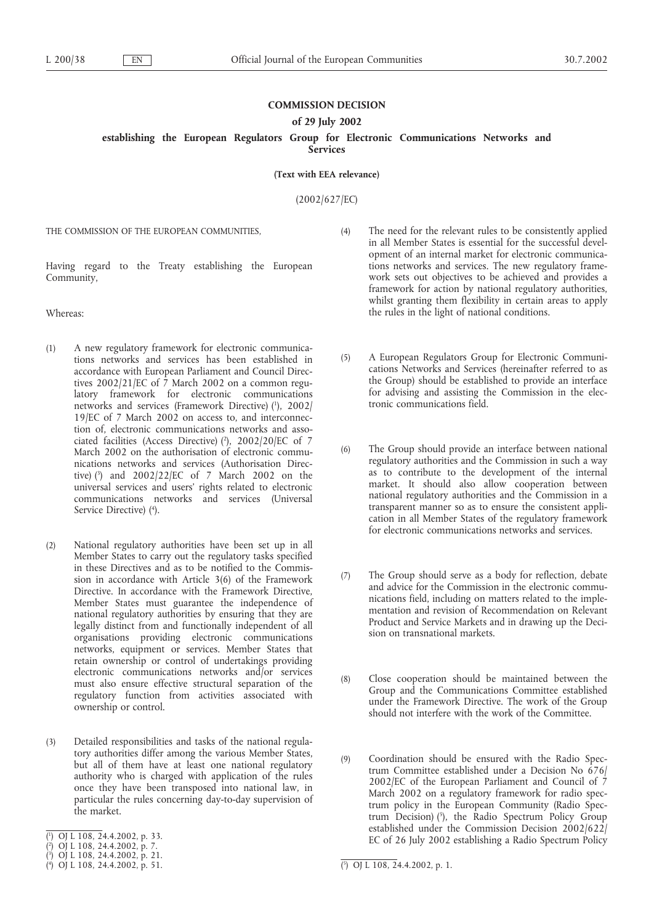# **COMMISSION DECISION**

## **of 29 July 2002**

**establishing the European Regulators Group for Electronic Communications Networks and**

**Services**

**(Text with EEA relevance)**

(2002/627/EC)

THE COMMISSION OF THE EUROPEAN COMMUNITIES,

Having regard to the Treaty establishing the European Community,

Whereas:

- (1) A new regulatory framework for electronic communications networks and services has been established in accordance with European Parliament and Council Directives  $2002/21$ /EC of  $\overline{7}$  March 2002 on a common regulatory framework for electronic communications networks and services (Framework Directive) (1), 2002/ 19/EC of 7 March 2002 on access to, and interconnection of, electronic communications networks and associated facilities (Access Directive)  $(^2)$ , 2002/20/EC of 7 March 2002 on the authorisation of electronic communications networks and services (Authorisation Directive) (3 ) and 2002/22/EC of 7 March 2002 on the universal services and users' rights related to electronic communications networks and services (Universal Service Directive) (4).
- (2) National regulatory authorities have been set up in all Member States to carry out the regulatory tasks specified in these Directives and as to be notified to the Commission in accordance with Article 3(6) of the Framework Directive. In accordance with the Framework Directive, Member States must guarantee the independence of national regulatory authorities by ensuring that they are legally distinct from and functionally independent of all organisations providing electronic communications networks, equipment or services. Member States that retain ownership or control of undertakings providing electronic communications networks and/or services must also ensure effective structural separation of the regulatory function from activities associated with ownership or control.
- (3) Detailed responsibilities and tasks of the national regulatory authorities differ among the various Member States, but all of them have at least one national regulatory authority who is charged with application of the rules once they have been transposed into national law, in particular the rules concerning day-to-day supervision of the market.
- ( 1 ) OJ L 108, 24.4.2002, p. 33.
- ( 2 ) OJ L 108, 24.4.2002, p. 7.

( 4 ) OJ L 108, 24.4.2002, p. 51. (

- (4) The need for the relevant rules to be consistently applied in all Member States is essential for the successful development of an internal market for electronic communications networks and services. The new regulatory framework sets out objectives to be achieved and provides a framework for action by national regulatory authorities, whilst granting them flexibility in certain areas to apply the rules in the light of national conditions.
- (5) A European Regulators Group for Electronic Communications Networks and Services (hereinafter referred to as the Group) should be established to provide an interface for advising and assisting the Commission in the electronic communications field.
- (6) The Group should provide an interface between national regulatory authorities and the Commission in such a way as to contribute to the development of the internal market. It should also allow cooperation between national regulatory authorities and the Commission in a transparent manner so as to ensure the consistent application in all Member States of the regulatory framework for electronic communications networks and services.
- (7) The Group should serve as a body for reflection, debate and advice for the Commission in the electronic communications field, including on matters related to the implementation and revision of Recommendation on Relevant Product and Service Markets and in drawing up the Decision on transnational markets.
- (8) Close cooperation should be maintained between the Group and the Communications Committee established under the Framework Directive. The work of the Group should not interfere with the work of the Committee.
- (9) Coordination should be ensured with the Radio Spectrum Committee established under a Decision No 676/ 2002/EC of the European Parliament and Council of 7 March 2002 on a regulatory framework for radio spectrum policy in the European Community (Radio Spectrum Decision) (5), the Radio Spectrum Policy Group established under the Commission Decision 2002/622/ EC of 26 July 2002 establishing a Radio Spectrum Policy

<sup>(</sup> 3 ) OJ L 108, 24.4.2002, p. 21.

<sup>5</sup> ) OJ L 108, 24.4.2002, p. 1.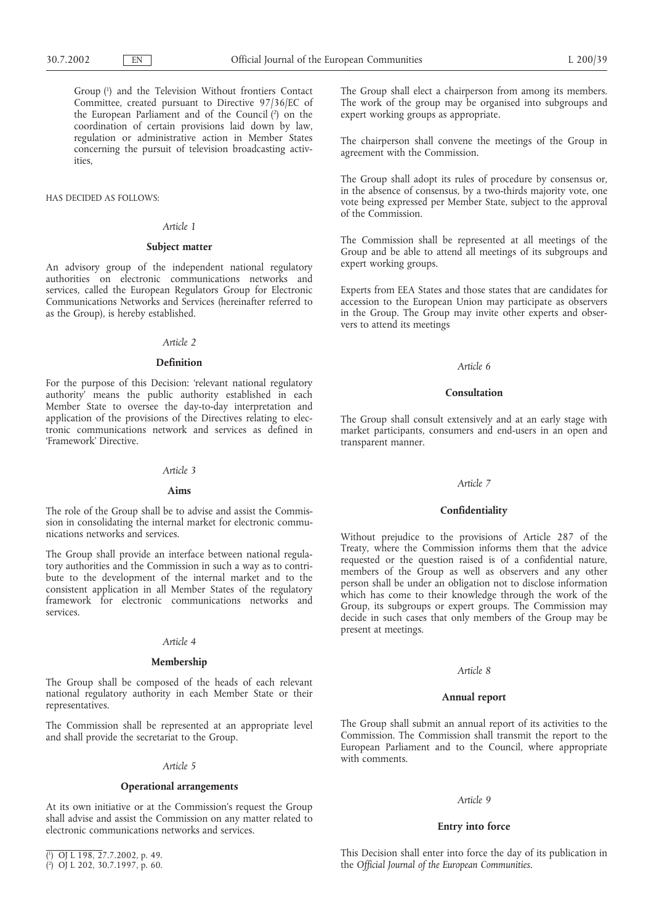Group (1 ) and the Television Without frontiers Contact Committee, created pursuant to Directive 97/36/EC of the European Parliament and of the Council (2) on the coordination of certain provisions laid down by law, regulation or administrative action in Member States concerning the pursuit of television broadcasting activities,

# HAS DECIDED AS FOLLOWS:

# *Article 1*

# **Subject matter**

An advisory group of the independent national regulatory authorities on electronic communications networks and services, called the European Regulators Group for Electronic Communications Networks and Services (hereinafter referred to as the Group), is hereby established.

## *Article 2*

#### **Definition**

For the purpose of this Decision: 'relevant national regulatory authority' means the public authority established in each Member State to oversee the day-to-day interpretation and application of the provisions of the Directives relating to electronic communications network and services as defined in 'Framework' Directive.

#### *Article 3*

## **Aims**

The role of the Group shall be to advise and assist the Commission in consolidating the internal market for electronic communications networks and services.

The Group shall provide an interface between national regulatory authorities and the Commission in such a way as to contribute to the development of the internal market and to the consistent application in all Member States of the regulatory framework for electronic communications networks and services.

## *Article 4*

## **Membership**

The Group shall be composed of the heads of each relevant national regulatory authority in each Member State or their representatives.

The Commission shall be represented at an appropriate level and shall provide the secretariat to the Group.

### *Article 5*

## **Operational arrangements**

At its own initiative or at the Commission's request the Group shall advise and assist the Commission on any matter related to electronic communications networks and services.

The Group shall elect a chairperson from among its members. The work of the group may be organised into subgroups and expert working groups as appropriate.

The chairperson shall convene the meetings of the Group in agreement with the Commission.

The Group shall adopt its rules of procedure by consensus or, in the absence of consensus, by a two-thirds majority vote, one vote being expressed per Member State, subject to the approval of the Commission.

The Commission shall be represented at all meetings of the Group and be able to attend all meetings of its subgroups and expert working groups.

Experts from EEA States and those states that are candidates for accession to the European Union may participate as observers in the Group. The Group may invite other experts and observers to attend its meetings

## *Article 6*

## **Consultation**

The Group shall consult extensively and at an early stage with market participants, consumers and end-users in an open and transparent manner.

#### *Article 7*

## **Confidentiality**

Without prejudice to the provisions of Article 287 of the Treaty, where the Commission informs them that the advice requested or the question raised is of a confidential nature, members of the Group as well as observers and any other person shall be under an obligation not to disclose information which has come to their knowledge through the work of the Group, its subgroups or expert groups. The Commission may decide in such cases that only members of the Group may be present at meetings.

#### *Article 8*

#### **Annual report**

The Group shall submit an annual report of its activities to the Commission. The Commission shall transmit the report to the European Parliament and to the Council, where appropriate with comments.

### *Article 9*

## **Entry into force**

This Decision shall enter into force the day of its publication in the *Official Journal of the European Communities*.

<sup>(</sup> 1 ) OJ L 198, 27.7.2002, p. 49.

<sup>(</sup> 2 ) OJ L 202, 30.7.1997, p. 60.